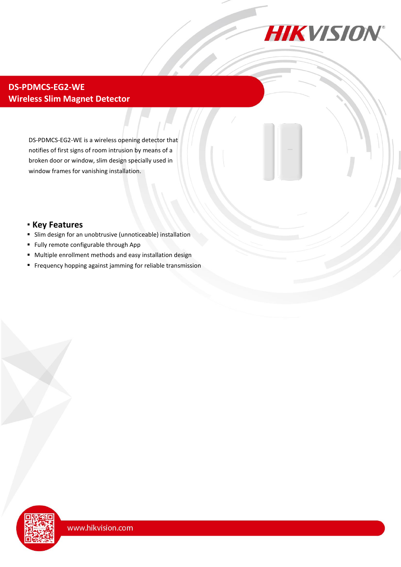

## **DS-PDMCS-EG2-WE Wireless Slim Magnet Detector**

DS-PDMCS-EG2-WE is a wireless opening detector that notifies of first signs of room intrusion by means of a broken door or window, slim design specially used in window frames for vanishing installation.

## **Key Features**

- Slim design for an unobtrusive (unnoticeable) installation
- Fully remote configurable through App
- Multiple enrollment methods and easy installation design
- Frequency hopping against jamming for reliable transmission

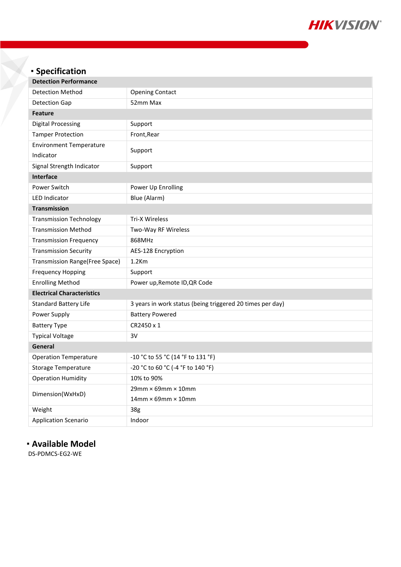

| • Specification                   |                                                           |
|-----------------------------------|-----------------------------------------------------------|
| <b>Detection Performance</b>      |                                                           |
| <b>Detection Method</b>           | <b>Opening Contact</b>                                    |
| <b>Detection Gap</b>              | 52mm Max                                                  |
| <b>Feature</b>                    |                                                           |
| <b>Digital Processing</b>         | Support                                                   |
| <b>Tamper Protection</b>          | Front, Rear                                               |
| <b>Environment Temperature</b>    |                                                           |
| Indicator                         | Support                                                   |
| Signal Strength Indicator         | Support                                                   |
| Interface                         |                                                           |
| Power Switch                      | Power Up Enrolling                                        |
| <b>LED Indicator</b>              | Blue (Alarm)                                              |
| <b>Transmission</b>               |                                                           |
| <b>Transmission Technology</b>    | <b>Tri-X Wireless</b>                                     |
| <b>Transmission Method</b>        | Two-Way RF Wireless                                       |
| <b>Transmission Frequency</b>     | 868MHz                                                    |
| <b>Transmission Security</b>      | AES-128 Encryption                                        |
| Transmission Range(Free Space)    | $1.2$ Km                                                  |
| <b>Frequency Hopping</b>          | Support                                                   |
| <b>Enrolling Method</b>           | Power up, Remote ID, QR Code                              |
| <b>Electrical Characteristics</b> |                                                           |
| <b>Standard Battery Life</b>      | 3 years in work status (being triggered 20 times per day) |
| Power Supply                      | <b>Battery Powered</b>                                    |
| <b>Battery Type</b>               | CR2450 x 1                                                |
| <b>Typical Voltage</b>            | 3V                                                        |
| General                           |                                                           |
| <b>Operation Temperature</b>      | -10 °C to 55 °C (14 °F to 131 °F)                         |
| Storage Temperature               | -20 °C to 60 °C (-4 °F to 140 °F)                         |
| <b>Operation Humidity</b>         | 10% to 90%                                                |
| Dimension(WxHxD)                  | $29$ mm $\times$ 69mm $\times$ 10mm                       |
|                                   | $14$ mm $\times$ 69mm $\times$ 10mm                       |
| Weight                            | 38g                                                       |
| <b>Application Scenario</b>       | Indoor                                                    |

# **Available Model**

DS-PDMCS-EG2-WE

X